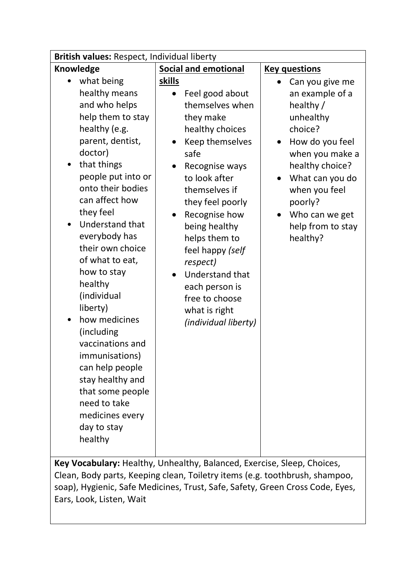| British values: Respect, Individual liberty                                                                                                                                                                                                                                                                                                                                                                                                                                                                                                                       |                                                                                                                                                                                                                                                                                                                                                                                                                                                      |                                                                                                                                                                                                                                                                           |
|-------------------------------------------------------------------------------------------------------------------------------------------------------------------------------------------------------------------------------------------------------------------------------------------------------------------------------------------------------------------------------------------------------------------------------------------------------------------------------------------------------------------------------------------------------------------|------------------------------------------------------------------------------------------------------------------------------------------------------------------------------------------------------------------------------------------------------------------------------------------------------------------------------------------------------------------------------------------------------------------------------------------------------|---------------------------------------------------------------------------------------------------------------------------------------------------------------------------------------------------------------------------------------------------------------------------|
| <b>Knowledge</b>                                                                                                                                                                                                                                                                                                                                                                                                                                                                                                                                                  | <b>Social and emotional</b>                                                                                                                                                                                                                                                                                                                                                                                                                          | <b>Key questions</b>                                                                                                                                                                                                                                                      |
| what being<br>$\bullet$<br>healthy means<br>and who helps<br>help them to stay<br>healthy (e.g.<br>parent, dentist,<br>doctor)<br>that things<br>people put into or<br>onto their bodies<br>can affect how<br>they feel<br>Understand that<br>$\bullet$<br>everybody has<br>their own choice<br>of what to eat,<br>how to stay<br>healthy<br>(individual<br>liberty)<br>how medicines<br>(including<br>vaccinations and<br>immunisations)<br>can help people<br>stay healthy and<br>that some people<br>need to take<br>medicines every<br>day to stay<br>healthy | skills<br>Feel good about<br>themselves when<br>they make<br>healthy choices<br>Keep themselves<br>safe<br>Recognise ways<br>to look after<br>themselves if<br>they feel poorly<br>Recognise how<br>being healthy<br>helps them to<br>feel happy (self<br>respect)<br>Understand that<br>$\bullet$<br>each person is<br>free to choose<br>what is right<br>(individual liberty)<br>Key Vocabulary: Healthy Unhealthy Balanced Evercise Sleep Choices | Can you give me<br>$\bullet$<br>an example of a<br>healthy /<br>unhealthy<br>choice?<br>How do you feel<br>$\bullet$<br>when you make a<br>healthy choice?<br>What can you do<br>$\bullet$<br>when you feel<br>poorly?<br>Who can we get<br>help from to stay<br>healthy? |

**Key Vocabulary:** Healthy, Unhealthy, Balanced, Exercise, Sleep, Choices, Clean, Body parts, Keeping clean, Toiletry items (e.g. toothbrush, shampoo, soap), Hygienic, Safe Medicines, Trust, Safe, Safety, Green Cross Code, Eyes, Ears, Look, Listen, Wait